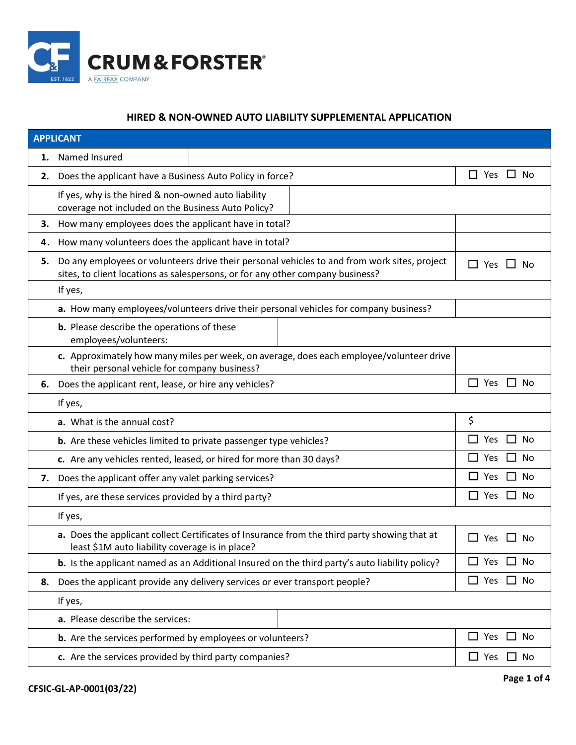

## **HIRED & NON-OWNED AUTO LIABILITY SUPPLEMENTAL APPLICATION**

| <b>APPLICANT</b> |                                                                                                                                                                                             |                                    |  |  |
|------------------|---------------------------------------------------------------------------------------------------------------------------------------------------------------------------------------------|------------------------------------|--|--|
| 1.               | Named Insured                                                                                                                                                                               |                                    |  |  |
| 2.               | Does the applicant have a Business Auto Policy in force?                                                                                                                                    | □.<br><b>No</b><br>Yes ⊔           |  |  |
|                  | If yes, why is the hired & non-owned auto liability<br>coverage not included on the Business Auto Policy?                                                                                   |                                    |  |  |
| 3.               | How many employees does the applicant have in total?                                                                                                                                        |                                    |  |  |
| 4.               | How many volunteers does the applicant have in total?                                                                                                                                       |                                    |  |  |
| 5.               | Do any employees or volunteers drive their personal vehicles to and from work sites, project<br>Yes<br>Nο<br>sites, to client locations as salespersons, or for any other company business? |                                    |  |  |
|                  | If yes,                                                                                                                                                                                     |                                    |  |  |
|                  | a. How many employees/volunteers drive their personal vehicles for company business?                                                                                                        |                                    |  |  |
|                  | <b>b.</b> Please describe the operations of these<br>employees/volunteers:                                                                                                                  |                                    |  |  |
|                  | c. Approximately how many miles per week, on average, does each employee/volunteer drive<br>their personal vehicle for company business?                                                    |                                    |  |  |
| 6.               | Does the applicant rent, lease, or hire any vehicles?                                                                                                                                       | Yes<br>No<br>$\mathsf{L}$          |  |  |
|                  | If yes,                                                                                                                                                                                     |                                    |  |  |
|                  | a. What is the annual cost?                                                                                                                                                                 | \$                                 |  |  |
|                  | <b>b.</b> Are these vehicles limited to private passenger type vehicles?                                                                                                                    | Yes<br>No                          |  |  |
|                  | c. Are any vehicles rented, leased, or hired for more than 30 days?                                                                                                                         | <b>No</b><br>Yes                   |  |  |
| 7.               | Does the applicant offer any valet parking services?                                                                                                                                        | <b>No</b><br>Yes<br>$\blacksquare$ |  |  |
|                  | If yes, are these services provided by a third party?                                                                                                                                       | No<br>Yes                          |  |  |
|                  | If yes,                                                                                                                                                                                     |                                    |  |  |
|                  | a. Does the applicant collect Certificates of Insurance from the third party showing that at<br>least \$1M auto liability coverage is in place?                                             | $\mathsf{L}$<br>Yes<br>No          |  |  |
|                  | b. Is the applicant named as an Additional Insured on the third party's auto liability policy?                                                                                              | Yes<br>No<br>$\mathsf{L}$          |  |  |
| 8.               | Does the applicant provide any delivery services or ever transport people?                                                                                                                  | Yes<br>No<br>$\mathcal{L}$         |  |  |
|                  | If yes,                                                                                                                                                                                     |                                    |  |  |
|                  | a. Please describe the services:                                                                                                                                                            |                                    |  |  |
|                  | b. Are the services performed by employees or volunteers?                                                                                                                                   | Yes<br>No<br>$\mathsf{L}$          |  |  |
|                  | c. Are the services provided by third party companies?                                                                                                                                      | $\Box$ Yes $\Box$ No               |  |  |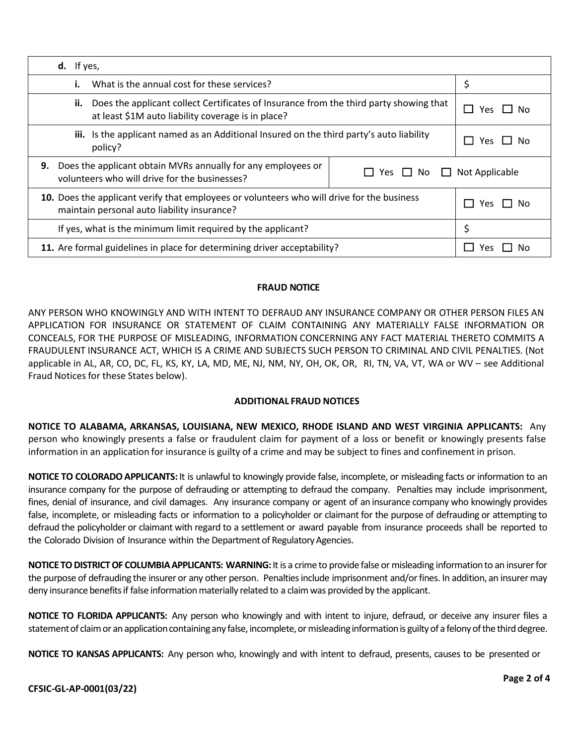| $d.$ If yes,                                                                                                                                        |                                     |  |
|-----------------------------------------------------------------------------------------------------------------------------------------------------|-------------------------------------|--|
| What is the annual cost for these services?<br>i.                                                                                                   | \$                                  |  |
| Does the applicant collect Certificates of Insurance from the third party showing that<br>ii.<br>at least \$1M auto liability coverage is in place? | Yes.<br>– IN∩                       |  |
| iii. Is the applicant named as an Additional Insured on the third party's auto liability<br>policy?                                                 | Yes<br>IINO                         |  |
| Does the applicant obtain MVRs annually for any employees or<br>9.<br>volunteers who will drive for the businesses?                                 | Yes $\Box$ No $\Box$ Not Applicable |  |
| 10. Does the applicant verify that employees or volunteers who will drive for the business<br>maintain personal auto liability insurance?           | Yes<br>l I No                       |  |
| If yes, what is the minimum limit required by the applicant?                                                                                        | \$                                  |  |
| 11. Are formal guidelines in place for determining driver acceptability?                                                                            | Yes.<br>Nο                          |  |

## **FRAUD NOTICE**

ANY PERSON WHO KNOWINGLY AND WITH INTENT TO DEFRAUD ANY INSURANCE COMPANY OR OTHER PERSON FILES AN APPLICATION FOR INSURANCE OR STATEMENT OF CLAIM CONTAINING ANY MATERIALLY FALSE INFORMATION OR CONCEALS, FOR THE PURPOSE OF MISLEADING, INFORMATION CONCERNING ANY FACT MATERIAL THERETO COMMITS A FRAUDULENT INSURANCE ACT, WHICH IS A CRIME AND SUBJECTS SUCH PERSON TO CRIMINAL AND CIVIL PENALTIES. (Not applicable in AL, AR, CO, DC, FL, KS, KY, LA, MD, ME, NJ, NM, NY, OH, OK, OR, RI, TN, VA, VT, WA or WV – see Additional Fraud Notices for these States below).

## **ADDITIONAL FRAUD NOTICES**

**NOTICE TO ALABAMA, ARKANSAS, LOUISIANA, NEW MEXICO, RHODE ISLAND AND WEST VIRGINIA APPLICANTS:** Any person who knowingly presents a false or fraudulent claim for payment of a loss or benefit or knowingly presents false information in an application for insurance is guilty of a crime and may be subject to fines and confinement in prison.

**NOTICE TO COLORADO APPLICANTS:** It is unlawful to knowingly provide false, incomplete, or misleading facts or information to an insurance company for the purpose of defrauding or attempting to defraud the company. Penalties may include imprisonment, fines, denial of insurance, and civil damages. Any insurance company or agent of an insurance company who knowingly provides false, incomplete, or misleading facts or information to a policyholder or claimant for the purpose of defrauding or attempting to defraud the policyholder or claimant with regard to a settlement or award payable from insurance proceeds shall be reported to the Colorado Division of Insurance within the Department of Regulatory Agencies.

**NOTICE TODISTRICTOF COLUMBIAAPPLICANTS: WARNING:**Itis a crime to provide false or misleading informationto an insurerfor the purpose of defrauding the insurer or any other person. Penaltiesinclude imprisonment and/orfines. In addition, an insurermay deny insurance benefits if false information materially related to a claim was provided by the applicant.

**NOTICE TO FLORIDA APPLICANTS:** Any person who knowingly and with intent to injure, defraud, or deceive any insurer files a statement of claim or an application containing any false, incomplete, or misleading information is guilty of a felony of the third degree.

**NOTICE TO KANSAS APPLICANTS:** Any person who, knowingly and with intent to defraud, presents, causes to be presented or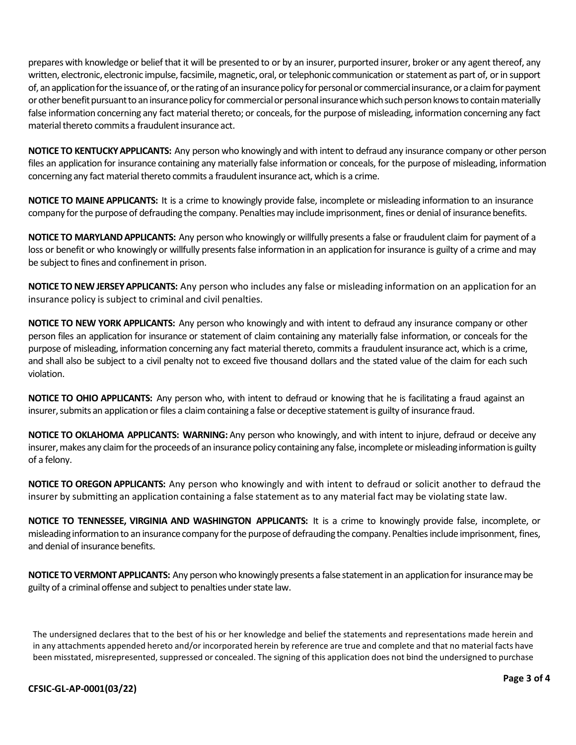prepares with knowledge or belief that it will be presented to or by an insurer, purported insurer, broker or any agent thereof, any written, electronic, electronic impulse, facsimile, magnetic, oral, or telephonic communication or statement as part of, or in support of, an application for the issuance of, or the rating of an insurance policy for personal or commercial insurance, or a claim for payment or other benefit pursuant to an insurance policy for commercial or personal insurance which such person knows to contain materially false information concerning any fact material thereto; or conceals, for the purpose of misleading, information concerning any fact material thereto commits a fraudulent insurance act.

**NOTICE TO KENTUCKYAPPLICANTS:** Any person who knowingly and with intent to defraud any insurance company or other person files an application for insurance containing any materially false information or conceals, for the purpose of misleading, information concerning any fact material thereto commits a fraudulent insurance act, which is a crime.

**NOTICE TO MAINE APPLICANTS:** It is a crime to knowingly provide false, incomplete or misleading information to an insurance company for the purpose of defrauding the company. Penalties may include imprisonment, fines or denial of insurance benefits.

**NOTICE TO MARYLANDAPPLICANTS:** Any person who knowingly or willfully presents a false or fraudulent claim for payment of a loss or benefit or who knowingly or willfully presents false information in an application for insurance is guilty of a crime and may be subject to fines and confinement in prison.

**NOTICE TO NEW JERSEY APPLICANTS:** Any person who includes any false or misleading information on an application for an insurance policy is subject to criminal and civil penalties.

**NOTICE TO NEW YORK APPLICANTS:** Any person who knowingly and with intent to defraud any insurance company or other person files an application for insurance or statement of claim containing any materially false information, or conceals for the purpose of misleading, information concerning any fact material thereto, commits a fraudulent insurance act, which is a crime, and shall also be subject to a civil penalty not to exceed five thousand dollars and the stated value of the claim for each such violation.

**NOTICE TO OHIO APPLICANTS:** Any person who, with intent to defraud or knowing that he is facilitating a fraud against an insurer, submits an application or files a claim containing a false or deceptive statement is guilty of insurance fraud.

**NOTICE TO OKLAHOMA APPLICANTS: WARNING:** Any person who knowingly, and with intent to injure, defraud or deceive any insurer, makes any claim for the proceeds of an insurance policy containing any false, incomplete or misleading information is guilty of a felony.

**NOTICE TO OREGON APPLICANTS:** Any person who knowingly and with intent to defraud or solicit another to defraud the insurer by submitting an application containing a false statement as to any material fact may be violating state law.

**NOTICE TO TENNESSEE, VIRGINIA AND WASHINGTON APPLICANTS:** It is a crime to knowingly provide false, incomplete, or misleading information to an insurance company for the purpose of defrauding the company. Penalties include imprisonment, fines, and denial of insurance benefits.

**NOTICE TO VERMONT APPLICANTS:** Any person who knowingly presents a false statement in an application for insurance may be guilty of a criminal offense and subject to penalties under state law.

The undersigned declares that to the best of his or her knowledge and belief the statements and representations made herein and in any attachments appended hereto and/or incorporated herein by reference are true and complete and that no material facts have been misstated, misrepresented, suppressed or concealed. The signing of this application does not bind the undersigned to purchase